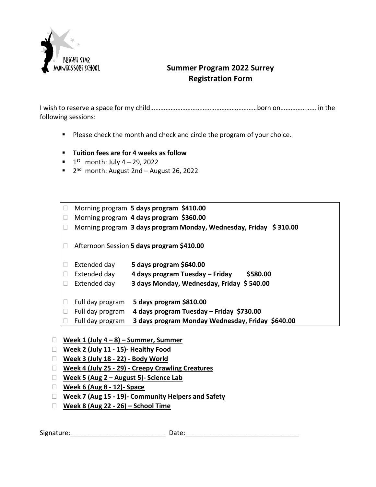

## **Summer Program 2022 Surrey Registration Form**

I wish to reserve a space for my child………………………………………………………born on………………… in the following sessions:

- Please check the month and check and circle the program of your choice.
- **Tuition fees are for 4 weeks as follow**
- $\blacksquare$  1<sup>st</sup> month: July 4 29, 2022
- 2<sup>nd</sup> month: August 2nd August 26, 2022

 Morning program **5 days program \$410.00**  Morning program **4 days program \$360.00** Morning program **3 days program Monday, Wednesday, Friday \$ 310.00** Afternoon Session **5 days program \$410.00** Extended day **5 days program \$640.00** Extended day **4 days program Tuesday – Friday \$580.00** Extended day **3 days Monday, Wednesday, Friday \$ 540.00** Full day program **5 days program \$810.00** Full day program **4 days program Tuesday – Friday \$730.00** Full day program **3 days program Monday Wednesday, Friday \$640.00**

- **Week 1 (July 4 – 8) – Summer, Summer**
- **Week 2 (July 11 - 15)- Healthy Food**
- **Week 3 (July 18 - 22) - Body World**
- **Week 4 (July 25 - 29) - Creepy Crawling Creatures**
- **Week 5 (Aug 2 – August 5)- Science Lab**
- **Week 6 (Aug 8 - 12)- Space**
- **Week 7 (Aug 15 - 19)- Community Helpers and Safety**
- **Week 8 (Aug 22 - 26) – School Time**

Signature: The Contract of the Contract of Date: